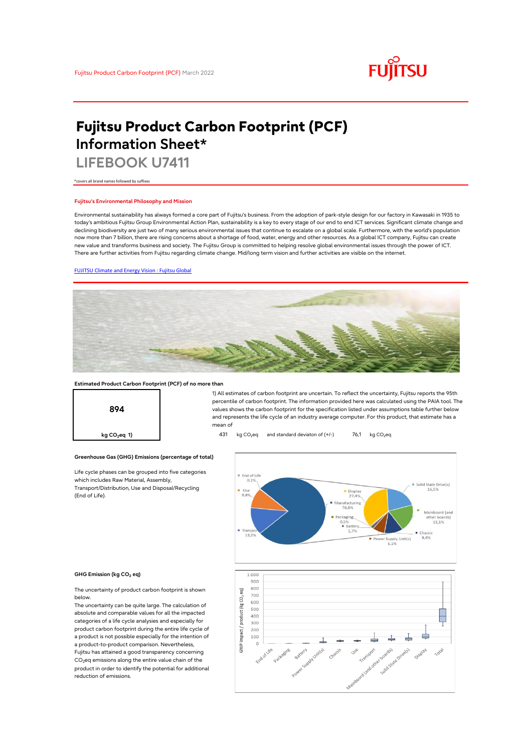

# **Fujitsu Product Carbon Footprint (PCF) Information Sheet\***

**LIFEBOOK U7411**

\*covers all brand names followed by suffixes

### **Fujitsu's Environmental Philosophy and Mission**

Environmental sustainability has always formed a core part of Fujitsu's business. From the adoption of park-style design for our factory in Kawasaki in 1935 to today's ambitious Fujitsu Group Environmental Action Plan, sustainability is a key to every stage of our end to end ICT services. Significant climate change and declining biodiversity are just two of many serious environmental issues that continue to escalate on a global scale. Furthermore, with the world's population now more than 7 billion, there are rising concerns about a shortage of food, water, energy and other resources. As a global ICT company, Fujitsu can create new value and transforms business and society. The Fujitsu Group is committed to helping resolve global environmental issues through the power of ICT. There are further activities from Fujitsu regarding climate change. Mid/long term vision and further activities are visible on the internet.

### [FUJITSU Climate and Energy Vision : Fujitsu Global](https://www.fujitsu.com/global/about/environment/climate-energy-vision/)



### **Estimated Product Carbon Footprint (PCF) of no more than**



1) All estimates of carbon footprint are uncertain. To reflect the uncertainty, Fujitsu reports the 95th percentile of carbon footprint. The information provided here was calculated using the PAIA tool. The values shows the carbon footprint for the specification listed under assumptions table further below and represents the life cycle of an industry average computer. For this product, that estimate has a mean of

**kg CO<sub>2</sub>eq 1) 431** kg CO<sub>2</sub>eq and standard deviaton of (+/-) 76,1 kg CO<sub>2</sub>eq





(End of Life).

The uncertainty of product carbon footprint is shown below.

Life cycle phases can be grouped into five categories

**Greenhouse Gas (GHG) Emissions (percentage of total)**

which includes Raw Material, Assembly, Transport/Distribution, Use and Disposal/Recycling

The uncertainty can be quite large. The calculation of absolute and comparable values for all the impacted categories of a life cycle analysies and especially for product carbon footprint during the entire life cycle of a product is not possible especially for the intention of a product-to-product comparison. Nevertheless, Fujitsu has attained a good transparency concerning CO<sub>2</sub>eq emissions along the entire value chain of the product in order to identify the potential for additional reduction of emissions.